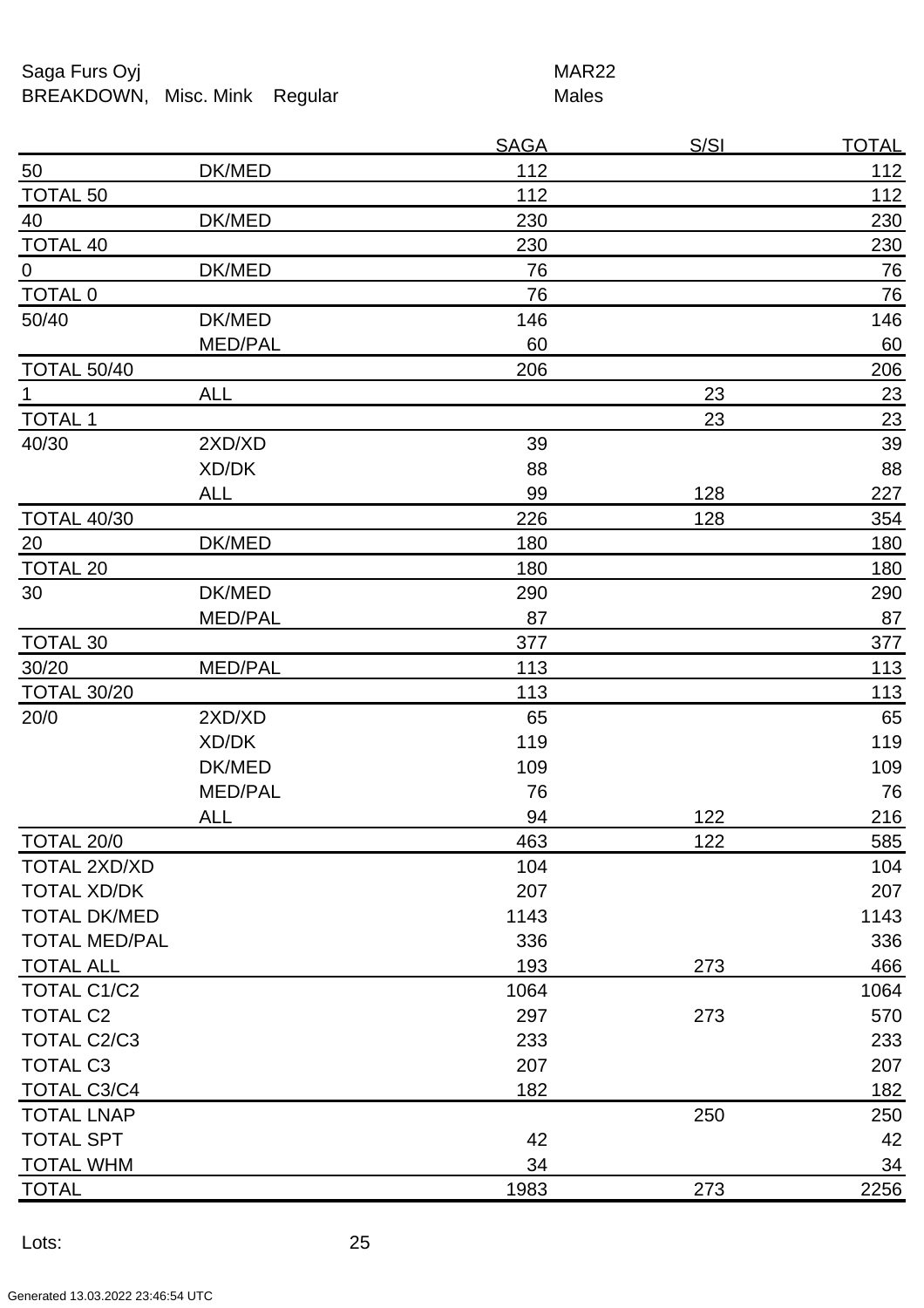## Saga Furs Oyj and the Saga Furs Oyj BREAKDOWN, Misc. Mink Regular Males

|                      |                | <b>SAGA</b> | <u>S/SI</u> | <u>TOTAL</u> |
|----------------------|----------------|-------------|-------------|--------------|
| 50                   | DK/MED         | 112         |             | 112          |
| <b>TOTAL 50</b>      |                | 112         |             | 112          |
| 40                   | DK/MED         | 230         |             | 230          |
| <b>TOTAL 40</b>      |                | 230         |             | 230          |
| $\overline{0}$       | DK/MED         | 76          |             | 76           |
| <b>TOTAL 0</b>       |                | 76          |             | 76           |
| 50/40                | DK/MED         | 146         |             | 146          |
|                      | <b>MED/PAL</b> | 60          |             | 60           |
| <b>TOTAL 50/40</b>   |                | 206         |             | 206          |
| $\mathbf 1$          | <b>ALL</b>     |             | 23          | 23           |
| <b>TOTAL 1</b>       |                |             | 23          | <u>23</u>    |
| 40/30                | 2XD/XD         | 39          |             | 39           |
|                      | XD/DK          | 88          |             | 88           |
|                      | ALL            | 99          | 128         | 227          |
| <b>TOTAL 40/30</b>   |                | 226         | 128         | 354          |
| 20                   | DK/MED         | 180         |             | 180          |
| <b>TOTAL 20</b>      |                | 180         |             | 180          |
| 30                   | DK/MED         | 290         |             | 290          |
|                      | <b>MED/PAL</b> | 87          |             | 87           |
| <b>TOTAL 30</b>      |                | 377         |             | 377          |
| 30/20                | <b>MED/PAL</b> | 113         |             | 113          |
| <b>TOTAL 30/20</b>   |                | 113         |             | 113          |
| 20/0                 | 2XD/XD         | 65          |             | 65           |
|                      | XD/DK          | 119         |             | 119          |
|                      | DK/MED         | 109         |             | 109          |
|                      | <b>MED/PAL</b> | 76          |             | 76           |
|                      | <b>ALL</b>     | 94          | 122         | 216          |
| TOTAL 20/0           |                | 463         | 122         | 585          |
| <b>TOTAL 2XD/XD</b>  |                | 104         |             | 104          |
| <b>TOTAL XD/DK</b>   |                | 207         |             | 207          |
| <b>TOTAL DK/MED</b>  |                | 1143        |             | 1143         |
| <b>TOTAL MED/PAL</b> |                | 336         |             | 336          |
| <b>TOTAL ALL</b>     |                | 193         | 273         | 466          |
| <b>TOTAL C1/C2</b>   |                | 1064        |             | 1064         |
| <b>TOTAL C2</b>      |                | 297         | 273         | 570          |
| <b>TOTAL C2/C3</b>   |                | 233         |             | 233          |
| <b>TOTAL C3</b>      |                | 207         |             | 207          |
| TOTAL C3/C4          |                | 182         |             | 182          |
| <b>TOTAL LNAP</b>    |                |             | 250         | 250          |
| <b>TOTAL SPT</b>     |                | 42          |             | 42           |
| <b>TOTAL WHM</b>     |                | 34          |             | 34           |
| <b>TOTAL</b>         |                | 1983        | 273         | 2256         |
|                      |                |             |             |              |

Lots: 25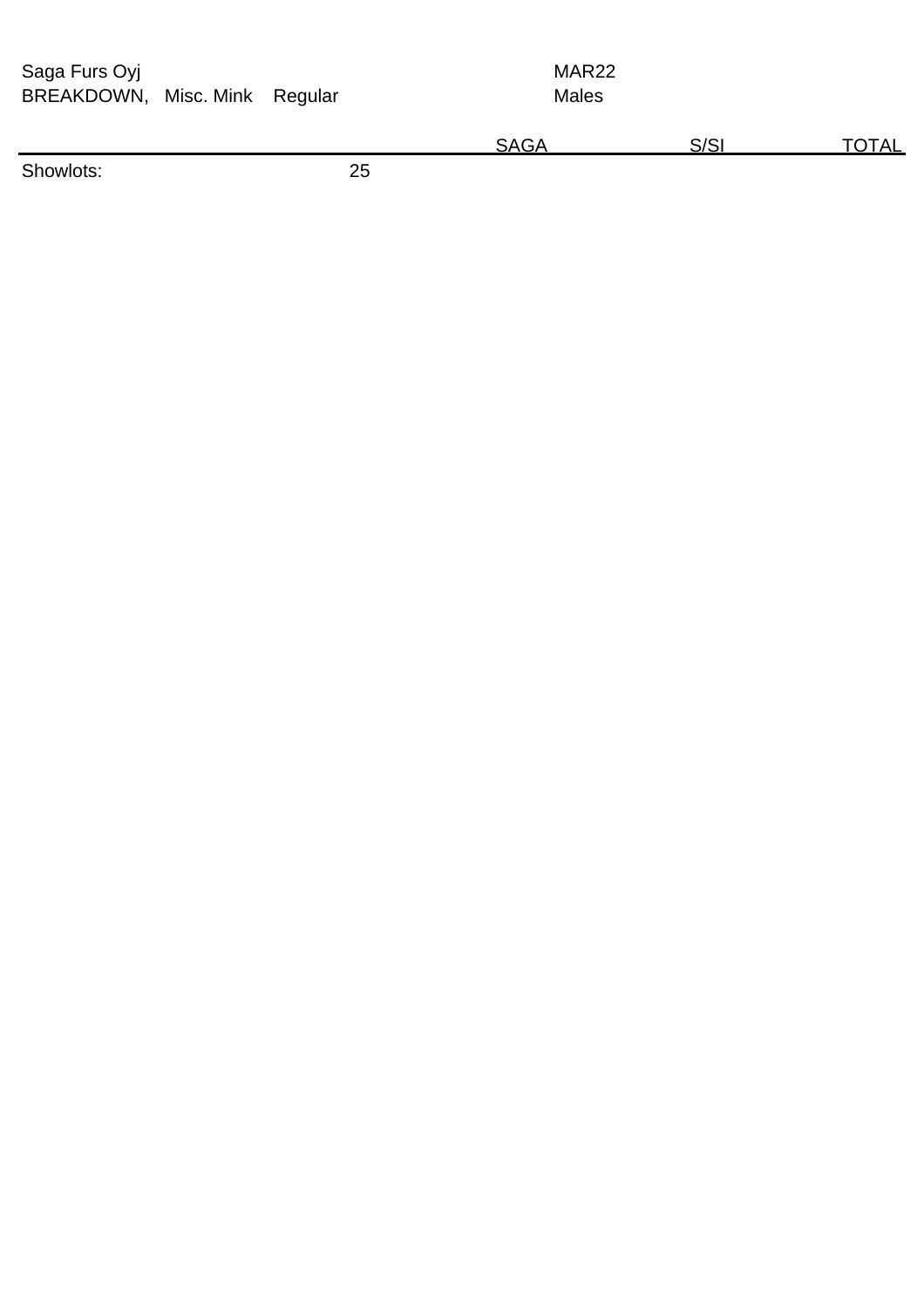Saga Furs Oyj BREAKDOWN, Misc. Mink Regular MAR22 Males

|                         |    | л. | <u>הור</u> | `` |
|-------------------------|----|----|------------|----|
| Sh.<br>ּוּחוֹשׁר<br>___ | ∼∸ |    |            |    |